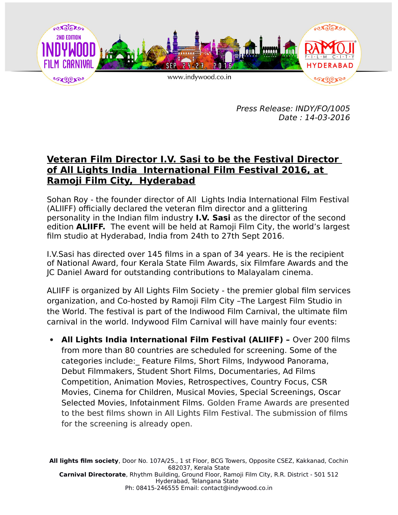

Press Release: INDY/FO/1005 Date : 14-03-2016

## **Veteran Film Director I.V. Sasi to be the Festival Director of All Lights India International Film Festival 2016, at Ramoji Film City, Hyderabad**

Sohan Roy - the founder director of All Lights India International Film Festival (ALIIFF) officially declared the veteran film director and a glittering personality in the Indian film industry **I.V. Sasi** as the director of the second edition **ALIIFF.** The event will be held at Ramoji Film City, the world's largest film studio at Hyderabad, India from 24th to 27th Sept 2016.

I.V.Sasi has directed over 145 films in a span of 34 years. He is the recipient of National Award, four Kerala State Film Awards, six Filmfare Awards and the JC Daniel Award for outstanding contributions to Malayalam cinema.

ALIIFF is organized by All Lights Film Society - the premier global film services organization, and Co-hosted by Ramoji Film City –The Largest Film Studio in the World. The festival is part of the Indiwood Film Carnival, the ultimate film carnival in the world. Indywood Film Carnival will have mainly four events:

**• All Lights India International Film Festival (ALIIFF) -** Over 200 films from more than 80 countries are scheduled for screening. Some of the categories include:\_ Feature Films, Short Films, Indywood Panorama, Debut Filmmakers, Student Short Films, Documentaries, Ad Films Competition, Animation Movies, Retrospectives, Country Focus, CSR Movies, Cinema for Children, Musical Movies, Special Screenings, Oscar Selected Movies, Infotainment Films. Golden Frame Awards are presented to the best films shown in All Lights Film Festival. The submission of films for the screening is already open.

**All lights film society**, Door No. 107A/25., 1 st Floor, BCG Towers, Opposite CSEZ, Kakkanad, Cochin 682037, Kerala State **Carnival Directorate**, Rhythm Building, Ground Floor, Ramoji Film City, R.R. District - 501 512 Hyderabad, Telangana State Ph: 08415-246555 Email: contact@indywood.co.in